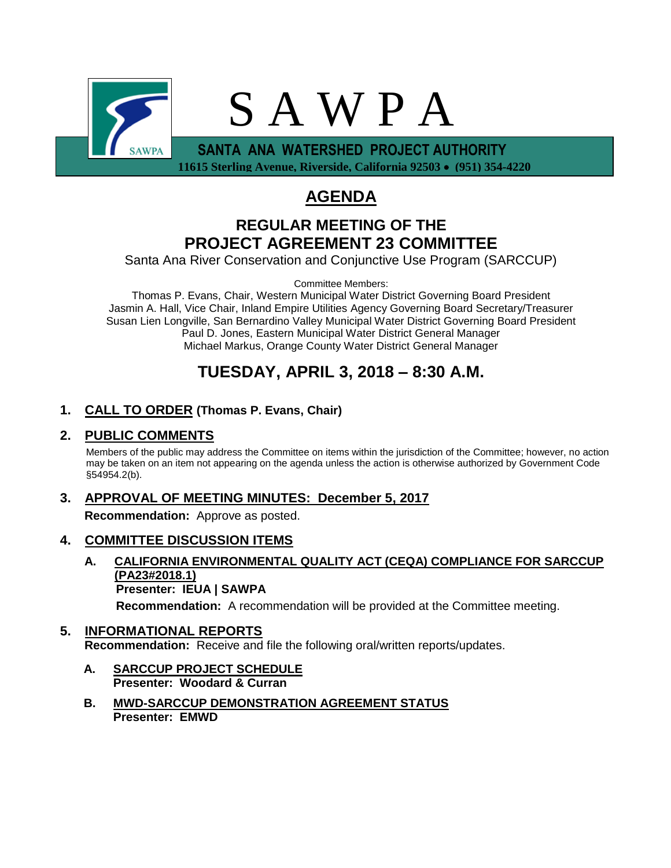

 **11615 Sterling Avenue, Riverside, California 92503 (951) 354-4220**

# **AGENDA**

# **REGULAR MEETING OF THE PROJECT AGREEMENT 23 COMMITTEE**

Santa Ana River Conservation and Conjunctive Use Program (SARCCUP)

Committee Members:

Thomas P. Evans, Chair, Western Municipal Water District Governing Board President Jasmin A. Hall, Vice Chair, Inland Empire Utilities Agency Governing Board Secretary/Treasurer Susan Lien Longville, San Bernardino Valley Municipal Water District Governing Board President Paul D. Jones, Eastern Municipal Water District General Manager Michael Markus, Orange County Water District General Manager

# **TUESDAY, APRIL 3, 2018 – 8:30 A.M.**

## **1. CALL TO ORDER (Thomas P. Evans, Chair)**

### **2. PUBLIC COMMENTS**

Members of the public may address the Committee on items within the jurisdiction of the Committee; however, no action may be taken on an item not appearing on the agenda unless the action is otherwise authorized by Government Code §54954.2(b).

# **3. APPROVAL OF MEETING MINUTES: December 5, 2017**

**Recommendation:** Approve as posted.

### **4. COMMITTEE DISCUSSION ITEMS**

**A. CALIFORNIA ENVIRONMENTAL QUALITY ACT (CEQA) COMPLIANCE FOR SARCCUP (PA23#2018.1) Presenter: IEUA | SAWPA**

**Recommendation:** A recommendation will be provided at the Committee meeting.

## **5. INFORMATIONAL REPORTS Recommendation:** Receive and file the following oral/written reports/updates.

- **A. SARCCUP PROJECT SCHEDULE Presenter: Woodard & Curran**
- **B. MWD-SARCCUP DEMONSTRATION AGREEMENT STATUS Presenter: EMWD**